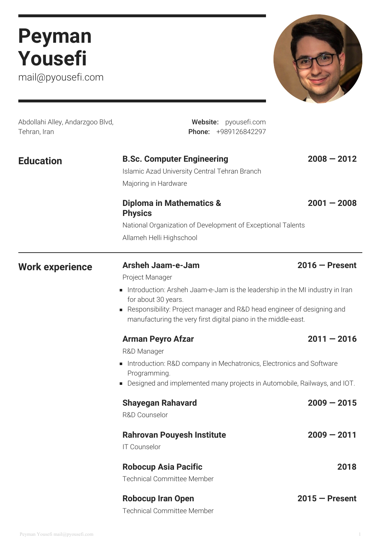# **Peyman Yousefi**

mail@pyousefi.com



| Abdollahi Alley, Andarzgoo Blvd,<br>Tehran, Iran | Website: pyousefi.com<br>Phone: +989126842297                                                                                                                                                                                                                                                       |                  |
|--------------------------------------------------|-----------------------------------------------------------------------------------------------------------------------------------------------------------------------------------------------------------------------------------------------------------------------------------------------------|------------------|
| <b>Education</b>                                 | <b>B.Sc. Computer Engineering</b><br>Islamic Azad University Central Tehran Branch<br>Majoring in Hardware                                                                                                                                                                                          | $2008 - 2012$    |
|                                                  | <b>Diploma in Mathematics &amp;</b><br><b>Physics</b><br>National Organization of Development of Exceptional Talents<br>Allameh Helli Highschool                                                                                                                                                    | $2001 - 2008$    |
| <b>Work experience</b>                           | <b>Arsheh Jaam-e-Jam</b><br>Project Manager<br>Introduction: Arsheh Jaam-e-Jam is the leadership in the MI industry in Iran<br>for about 30 years.<br>Responsibility: Project manager and R&D head engineer of designing and<br>ш<br>manufacturing the very first digital piano in the middle-east. | $2016 -$ Present |
|                                                  | <b>Arman Peyro Afzar</b><br>R&D Manager<br>Introduction: R&D company in Mechatronics, Electronics and Software<br>ш<br>Programming.<br>Designed and implemented many projects in Automobile, Railways, and IOT.<br>п                                                                                | $2011 - 2016$    |
|                                                  | <b>Shayegan Rahavard</b><br>R&D Counselor                                                                                                                                                                                                                                                           | $2009 - 2015$    |
|                                                  | <b>Rahrovan Pouyesh Institute</b><br><b>IT Counselor</b>                                                                                                                                                                                                                                            | $2009 - 2011$    |
|                                                  | <b>Robocup Asia Pacific</b><br><b>Technical Committee Member</b>                                                                                                                                                                                                                                    | 2018             |
|                                                  | <b>Robocup Iran Open</b>                                                                                                                                                                                                                                                                            | $2015 -$ Present |

Technical Committee Member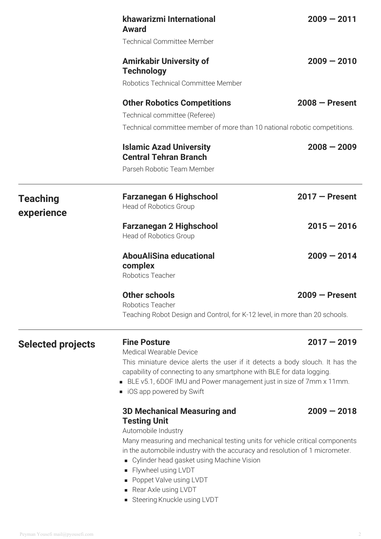|                               | khawarizmi International<br><b>Award</b>                                                                                                                                                                                                                                                                                                                                                                   | $2009 - 2011$    |  |
|-------------------------------|------------------------------------------------------------------------------------------------------------------------------------------------------------------------------------------------------------------------------------------------------------------------------------------------------------------------------------------------------------------------------------------------------------|------------------|--|
|                               | <b>Technical Committee Member</b>                                                                                                                                                                                                                                                                                                                                                                          |                  |  |
|                               | <b>Amirkabir University of</b><br><b>Technology</b>                                                                                                                                                                                                                                                                                                                                                        | $2009 - 2010$    |  |
|                               | Robotics Technical Committee Member                                                                                                                                                                                                                                                                                                                                                                        |                  |  |
|                               | <b>Other Robotics Competitions</b>                                                                                                                                                                                                                                                                                                                                                                         | $2008 -$ Present |  |
|                               | Technical committee (Referee)                                                                                                                                                                                                                                                                                                                                                                              |                  |  |
|                               | Technical committee member of more than 10 national robotic competitions.                                                                                                                                                                                                                                                                                                                                  |                  |  |
|                               | <b>Islamic Azad University</b><br><b>Central Tehran Branch</b>                                                                                                                                                                                                                                                                                                                                             | $2008 - 2009$    |  |
|                               | Parseh Robotic Team Member                                                                                                                                                                                                                                                                                                                                                                                 |                  |  |
| <b>Teaching</b><br>experience | <b>Farzanegan 6 Highschool</b><br>Head of Robotics Group                                                                                                                                                                                                                                                                                                                                                   | $2017 -$ Present |  |
|                               | <b>Farzanegan 2 Highschool</b><br>Head of Robotics Group                                                                                                                                                                                                                                                                                                                                                   | $2015 - 2016$    |  |
|                               | <b>AbouAliSina educational</b><br>complex<br>Robotics Teacher                                                                                                                                                                                                                                                                                                                                              | $2009 - 2014$    |  |
|                               | Other schools                                                                                                                                                                                                                                                                                                                                                                                              | $2009 -$ Present |  |
|                               | Robotics Teacher<br>Teaching Robot Design and Control, for K-12 level, in more than 20 schools.                                                                                                                                                                                                                                                                                                            |                  |  |
|                               |                                                                                                                                                                                                                                                                                                                                                                                                            |                  |  |
| <b>Selected projects</b>      | <b>Fine Posture</b><br>Medical Wearable Device                                                                                                                                                                                                                                                                                                                                                             | $2017 - 2019$    |  |
|                               | This miniature device alerts the user if it detects a body slouch. It has the<br>capability of connecting to any smartphone with BLE for data logging.<br>BLE v5.1, 6DOF IMU and Power management just in size of 7mm x 11mm.<br>■ iOS app powered by Swift                                                                                                                                                |                  |  |
|                               | <b>3D Mechanical Measuring and</b><br><b>Testing Unit</b><br>Automobile Industry<br>Many measuring and mechanical testing units for vehicle critical components<br>in the automobile industry with the accuracy and resolution of 1 micrometer.<br>Cylinder head gasket using Machine Vision<br>Flywheel using LVDT<br>п<br>Poppet Valve using LVDT<br>Rear Axle using LVDT<br>Steering Knuckle using LVDT | $2009 - 2018$    |  |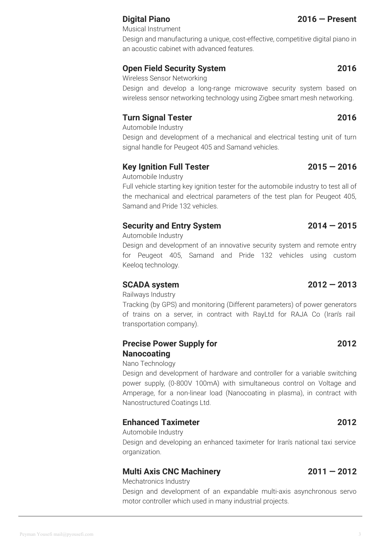## **Digital Piano 2016 — Present**

Musical Instrument

Design and manufacturing a unique, cost-effective, competitive digital piano in an acoustic cabinet with advanced features.

## **Open Field Security System 2016**

Wireless Sensor Networking

Design and develop a long-range microwave security system based on wireless sensor networking technology using Zigbee smart mesh networking.

## **Turn Signal Tester 2016**

Automobile Industry

Design and development of a mechanical and electrical testing unit of turn signal handle for Peugeot 405 and Samand vehicles.

## **Key Ignition Full Tester 2015 — 2016**

Automobile Industry

Full vehicle starting key ignition tester for the automobile industry to test all of the mechanical and electrical parameters of the test plan for Peugeot 405, Samand and Pride 132 vehicles.

## **Security and Entry System 2014 — 2015**

Automobile Industry

Design and development of an innovative security system and remote entry for Peugeot 405, Samand and Pride 132 vehicles using custom Keeloq technology.

## **SCADA system 2012 — 2013**

Railways Industry

Tracking (by GPS) and monitoring (Different parameters) of power generators of trains on a server, in contract with RayLtd for RAJA Co (Iran's rail transportation company).

### **Precise Power Supply for Nanocoating**

### Nano Technology

Design and development of hardware and controller for a variable switching power supply, (0-800V 100mA) with simultaneous control on Voltage and Amperage, for a non-linear load (Nanocoating in plasma), in contract with Nanostructured Coatings Ltd.

## **Enhanced Taximeter 2012**

Automobile Industry

Design and developing an enhanced taximeter for Iran's national taxi service organization.

## **Multi Axis CNC Machinery 2011 — 2012**

Mechatronics Industry

Design and development of an expandable multi-axis asynchronous servo motor controller which used in many industrial projects.

### Peyman Yousefi mail@pyousefi.com

**2012**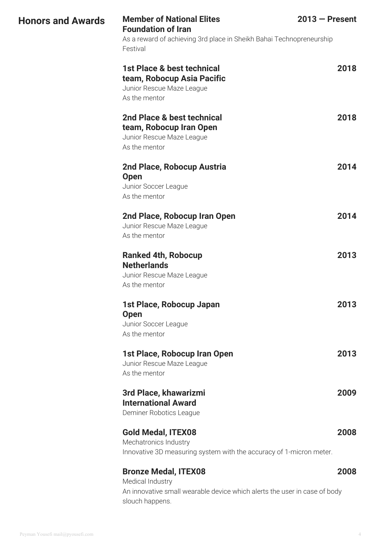| <b>Honors and Awards</b> | <b>Member of National Elites</b><br>$2013$ – Present<br><b>Foundation of Iran</b><br>As a reward of achieving 3rd place in Sheikh Bahai Technopreneurship<br>Festival |      |
|--------------------------|-----------------------------------------------------------------------------------------------------------------------------------------------------------------------|------|
|                          | 1st Place & best technical<br>team, Robocup Asia Pacific<br>Junior Rescue Maze League<br>As the mentor                                                                | 2018 |
|                          | 2nd Place & best technical<br>team, Robocup Iran Open<br>Junior Rescue Maze League                                                                                    | 2018 |
|                          | As the mentor<br>2nd Place, Robocup Austria<br><b>Open</b><br>Junior Soccer League                                                                                    | 2014 |
|                          | As the mentor<br>2nd Place, Robocup Iran Open<br>Junior Rescue Maze League<br>As the mentor                                                                           | 2014 |
|                          | <b>Ranked 4th, Robocup</b><br><b>Netherlands</b><br>Junior Rescue Maze League<br>As the mentor                                                                        | 2013 |
|                          | 1st Place, Robocup Japan<br><b>Open</b><br>Junior Soccer League<br>As the mentor                                                                                      | 2013 |
|                          | 1st Place, Robocup Iran Open<br>Junior Rescue Maze League<br>As the mentor                                                                                            | 2013 |
|                          | 3rd Place, khawarizmi<br><b>International Award</b><br>Deminer Robotics League                                                                                        | 2009 |
|                          | <b>Gold Medal, ITEX08</b><br>Mechatronics Industry<br>Innovative 3D measuring system with the accuracy of 1-micron meter.                                             | 2008 |
|                          | <b>Bronze Medal, ITEX08</b><br>Medical Industry<br>An innovative small wearable device which alerts the user in case of body<br>slouch happens.                       | 2008 |